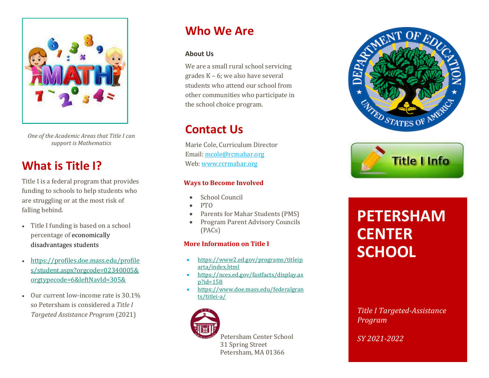

*One of the Academic Areas that Title I can support is Mathematics*

### **What is Title I?**

Title I is a federal program that provides funding to schools to help students who are struggling or at the most risk of falling behind.

- Title I funding is based on a school percentage of [economically](https://profiles.doe.mass.edu/profiles/student.aspx?orgcode=07550505&orgtypecode=6&leftNavId=305&)  [disadvantages students](https://profiles.doe.mass.edu/profiles/student.aspx?orgcode=07550505&orgtypecode=6&leftNavId=305&)
- [https://profiles.doe.mass.edu/profile](https://profiles.doe.mass.edu/profiles/student.aspx?orgcode=02340005&orgtypecode=6&leftNavId=305&) [s/student.aspx?orgcode=02340005&](https://profiles.doe.mass.edu/profiles/student.aspx?orgcode=02340005&orgtypecode=6&leftNavId=305&) [orgtypecode=6&leftNavId=305&](https://profiles.doe.mass.edu/profiles/student.aspx?orgcode=02340005&orgtypecode=6&leftNavId=305&)
- Our current low-income rate is 30.1% so Petersham is considered a *Title I Targeted Assistance Program* (2021)

### **Who We Are**

#### **About Us**

We are a small rural school servicing grades K – 6; we also have several students who attend our school from other communities who participate in the school choice program.

### **Contact Us**

Marie Cole, Curriculum Director Email: [mcole@rcmahar.org](mailto:mcole@rcmahar.org) Web[: www.rcrmahar.org](http://www.rcrmahar.org/)

#### **Ways to Become Involved**

- School Council
- PTO
- Parents for Mahar Students (PMS)
- Program Parent Advisory Councils (PACs)

#### **More Information on Title I**

- [https://www2.ed.gov/programs/titleip](https://www2.ed.gov/programs/titleiparta/index.html) [arta/index.html](https://www2.ed.gov/programs/titleiparta/index.html)
- [https://nces.ed.gov/fastfacts/display.as](https://nces.ed.gov/fastfacts/display.asp?id=158) [p?id=158](https://nces.ed.gov/fastfacts/display.asp?id=158)
- [https://www.doe.mass.edu/federalgran](https://www.doe.mass.edu/federalgrants/titlei-a/) [ts/titlei-a/](https://www.doe.mass.edu/federalgrants/titlei-a/)



Petersham Center School 31 Spring Street Petersham, MA 01366





# **PETERSHAM CENTER SCHOOL**

*Title I Targeted-Assistance Program* 

*SY 2021-2022*